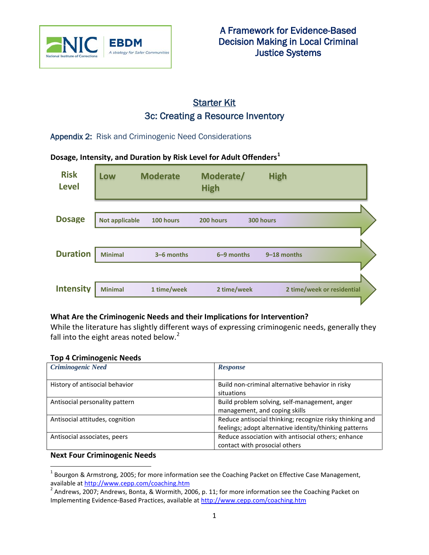

# **Starter Kit** 3c: Creating a Resource Inventory

Appendix 2: Risk and Criminogenic Need Considerations

## **Dosage, Intensity, and Duration by Risk Level for Adult Offenders[1](#page-0-0)**

| <b>Risk</b><br><b>Level</b> | Low                   | <b>Moderate</b> | Moderate/<br><b>High</b> | <b>High</b> |                            |
|-----------------------------|-----------------------|-----------------|--------------------------|-------------|----------------------------|
|                             |                       |                 |                          |             |                            |
| <b>Dosage</b>               | <b>Not applicable</b> | 100 hours       | 200 hours                | 300 hours   |                            |
|                             |                       |                 |                          |             |                            |
| <b>Duration</b>             | <b>Minimal</b>        | 3-6 months      | 6-9 months               | 9-18 months |                            |
|                             |                       |                 |                          |             |                            |
| <b>Intensity</b>            | <b>Minimal</b>        | 1 time/week     | 2 time/week              |             | 2 time/week or residential |
|                             |                       |                 |                          |             |                            |

### **What Are the Criminogenic Needs and their Implications for Intervention?**

While the literature has slightly different ways of expressing criminogenic needs, generally they fall into the eight areas noted below. $<sup>2</sup>$  $<sup>2</sup>$  $<sup>2</sup>$ </sup>

### **Top 4 Criminogenic Needs**

| <b>Criminogenic Need</b>        | <b>Response</b>                                          |
|---------------------------------|----------------------------------------------------------|
|                                 |                                                          |
| History of antisocial behavior  | Build non-criminal alternative behavior in risky         |
|                                 | situations                                               |
| Antisocial personality pattern  | Build problem solving, self-management, anger            |
|                                 | management, and coping skills                            |
| Antisocial attitudes, cognition | Reduce antisocial thinking; recognize risky thinking and |
|                                 | feelings; adopt alternative identity/thinking patterns   |
| Antisocial associates, peers    | Reduce association with antisocial others; enhance       |
|                                 | contact with prosocial others                            |

### **Next Four Criminogenic Needs**

<span id="page-0-0"></span> $1$  Bourgon & Armstrong, 2005; for more information see the Coaching Packet on Effective Case Management, available at <http://www.cepp.com/coaching.htm><br><sup>2</sup> Andrews, 2007; Andrews, Bonta, & Wormith, 2006, p. 11; for more information see the Coaching Packet on

<span id="page-0-1"></span>Implementing Evidence-Based Practices, available at<http://www.cepp.com/coaching.htm>